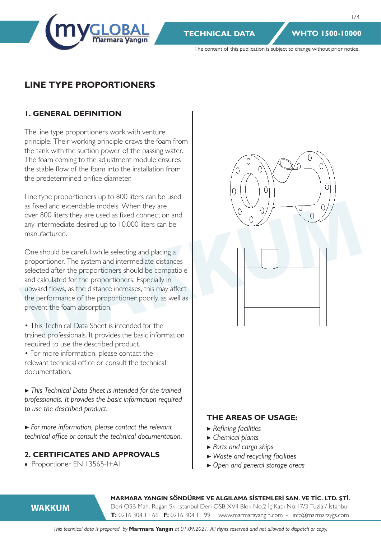

The content of this publication is subject to change without prior notice.

# **LINE TYPE PROPORTIONERS**

# **1. GENERAL DEFINITION**

The line type proportioners work with venture principle. Their working principle draws the foam from the tank with the suction power of the passing water. The foam coming to the adjustment module ensures the stable flow of the foam into the installation from the predetermined orifice diameter.

Line type proportioners up to 800 liters can be used as fixed and extendable models. When they are over 800 liters they are used as fixed connection and any intermediate desired up to 10,000 liters can be manufactured.

One should be careful while selecting and placing a proportioner. The system and intermediate distances selected after the proportioners should be compatible and calculated for the proportioners. Especially in upward flows, as the distance increases, this may affect the performance of the proportioner poorly, as well as prevent the foam absorption.

- This Technical Data Sheet is intended for the trained professionals. It provides the basic information required to use the described product.
- For more information, please contact the relevant technical office or consult the technical documentation.

*▶ This Technical Data Sheet is intended for the trained professionals. It provides the basic information required to use the described product.*

*▶ For more information, please contact the relevant technical office or consult the technical documentation.*

# **2. CERTIFICATES AND APPROVALS**

■ Proportioner EN 13565-I+AI



#### **THE AREAS OF USAGE:**

- ▶ *Refining facilities*
- ▶ *Chemical plants*
- ▶ *Ports and cargo ships*
- ▶ *Waste and recycling facilities*
- ▶ *Open and general storage areas*

**WAKKUM**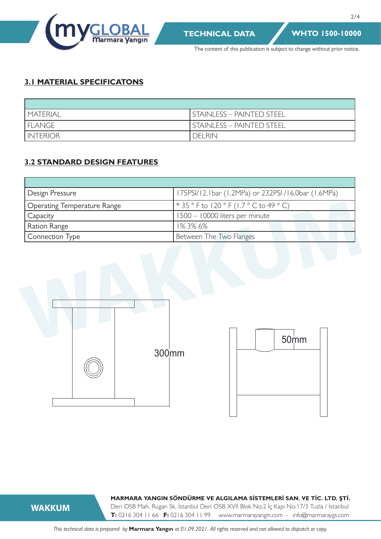

2/4

The content of this publication is subject to change without prior notice.

# **3.1 MATERIAL SPECIFICATONS**

| <b><i>MATERIAL</i></b> | <b>I STAINLESS - PAINTED STEEL</b> |
|------------------------|------------------------------------|
| <b>FLANGE</b>          | <b>STAINLESS - PAINTED STEEL</b>   |
| <b>INTERIOR</b>        | <b>DELRIN</b>                      |

# **3.2 STANDARD DESIGN FEATURES**

| Design Pressure             | 175PSI/12.1bar (1.2MPa) or 232PSI /16.0bar (1.6MPa) |
|-----------------------------|-----------------------------------------------------|
| Operating Temperature Range | * 35 ° F to 120 ° F (1.7 ° C to 49 ° C)             |
| Capacity                    | 1500 - 10000 liters per minute                      |
| Ration Range                | 1%3%6%                                              |
| <b>Connection Type</b>      | Between The Two Flanges                             |





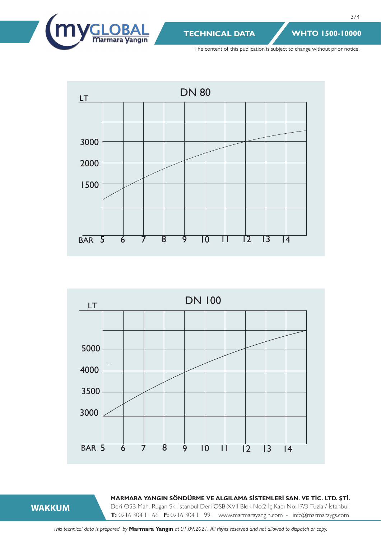

3/4

The content of this publication is subject to change without prior notice.





**WAKKUM**